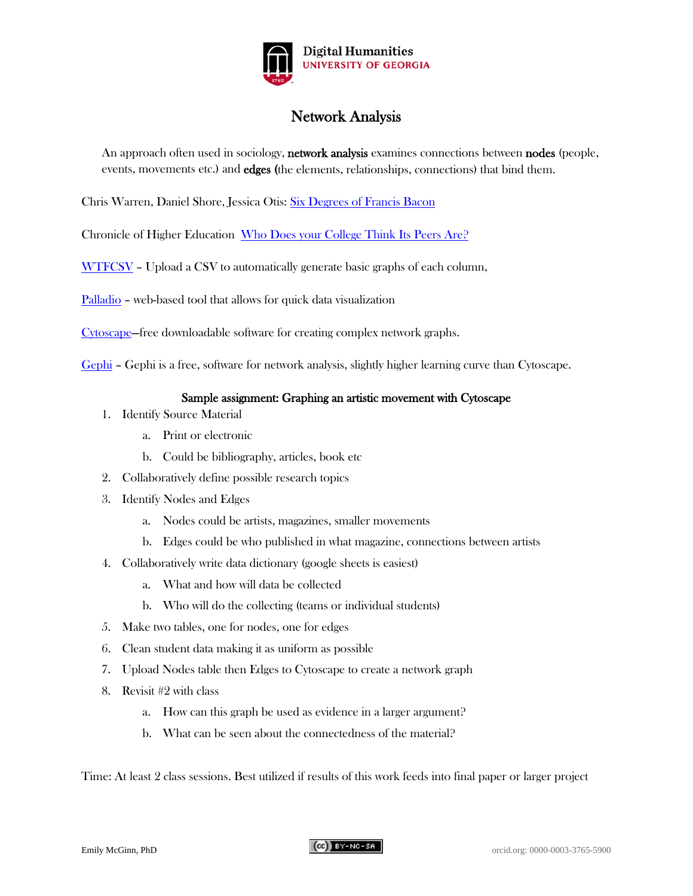

# Network Analysis

An approach often used in sociology, **network analysis** examines connections between **nodes** (people, events, movements etc.) and **edges** (the elements, relationships, connections) that bind them.

Chris Warren, Daniel Shore, Jessica Otis: [Six Degrees of Francis Bacon](http://sixdegreesoffrancisbacon.com/)

Chronicle of Higher Education: [Who Does your College Think Its Peers Are?](http://chronicle.com/interactives/peers-network)

[WTFCSV](https://databasic.io/en/wtfcsv/) - Upload a CSV to automatically generate basic graphs of each column,

[Palladio](http://hdlab.stanford.edu/palladio/) – web-based tool that allows for quick data visualization

[Cytoscape—](http://www.cytoscape.org/)free downloadable software for creating complex network graphs.

[Gephi](http://www.gephi.org/) – Gephi is a free, software for network analysis, slightly higher learning curve than Cytoscape.

## Sample assignment: Graphing an artistic movement with Cytoscape

- 1. Identify Source Material
	- a. Print or electronic
	- b. Could be bibliography, articles, book etc
- 2. Collaboratively define possible research topics
- 3. Identify Nodes and Edges
	- a. Nodes could be artists, magazines, smaller movements
	- b. Edges could be who published in what magazine, connections between artists
- 4. Collaboratively write data dictionary (google sheets is easiest)
	- a. What and how will data be collected
	- b. Who will do the collecting (teams or individual students)
- 5. Make two tables, one for nodes, one for edges
- 6. Clean student data making it as uniform as possible
- 7. Upload Nodes table then Edges to Cytoscape to create a network graph
- 8. Revisit #2 with class
	- a. How can this graph be used as evidence in a larger argument?
	- b. What can be seen about the connectedness of the material?

Time: At least 2 class sessions. Best utilized if results of this work feeds into final paper or larger project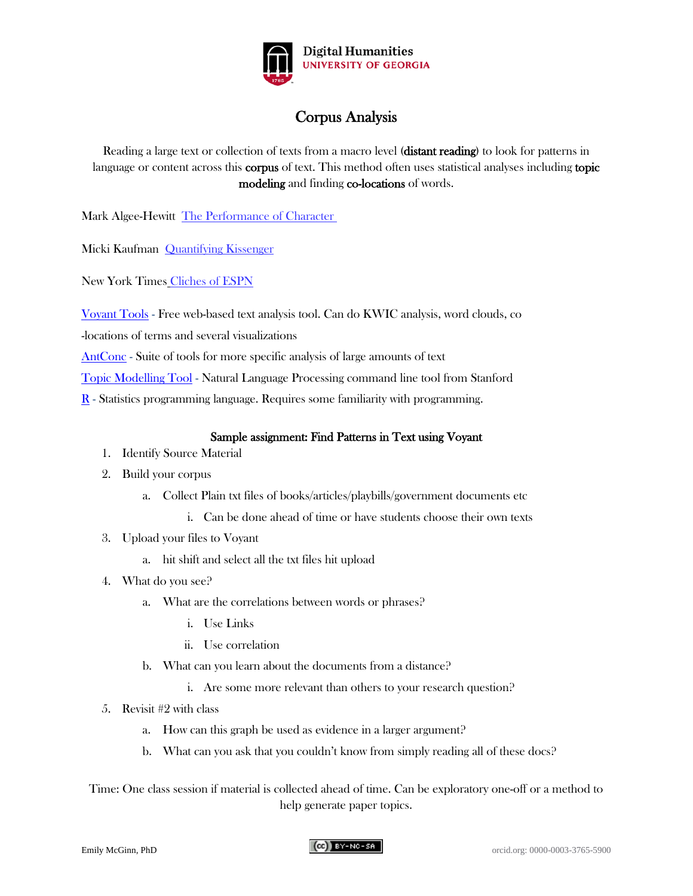

# Corpus Analysis

Reading a large text or collection of texts from a macro level (distant reading) to look for patterns in language or content across this **corpus** of text. This method often uses statistical analyses including topic modeling and finding co-locations of words.

Mark Algee-Hewitt [The Performance of Character](http://markalgeehewitt.org/index.php/main-page/projects/the-performance-of-character/)

Micki Kaufman [Quantifying Kissenger](http://www.quantifyingkissinger.com/)

New York Times [Cliches of ESPN](http://www.nytimes.com/interactive/2012/02/04/sports/football/a-compilation-of-sportscenter-cliches.html)

[Voyant Tools](http://voyant-tools.org/) - Free web-based text analysis tool. Can do KWIC analysis, word clouds, co

-locations of terms and several visualizations

[AntConc](http://www.laurenceanthony.net/software.html) - Suite of tools for more specific analysis of large amounts of text

[Topic Modelling Tool](http://nlp.stanford.edu/software/tmt/tmt-0.4/) - Natural Language Processing command line tool from Stanford

[R](https://www.r-bloggers.com/intro-to-text-analysis-with-r/) - Statistics programming language. Requires some familiarity with programming.

## Sample assignment: Find Patterns in Text using Voyant

- 1. Identify Source Material
- 2. Build your corpus
	- a. Collect Plain txt files of books/articles/playbills/government documents etc
		- i. Can be done ahead of time or have students choose their own texts
- 3. Upload your files to Voyant
	- a. hit shift and select all the txt files hit upload
- 4. What do you see?
	- a. What are the correlations between words or phrases?
		- i. Use Links
		- ii. Use correlation
	- b. What can you learn about the documents from a distance?
		- i. Are some more relevant than others to your research question?
- 5. Revisit #2 with class
	- a. How can this graph be used as evidence in a larger argument?
	- b. What can you ask that you couldn't know from simply reading all of these docs?

Time: One class session if material is collected ahead of time. Can be exploratory one-off or a method to help generate paper topics.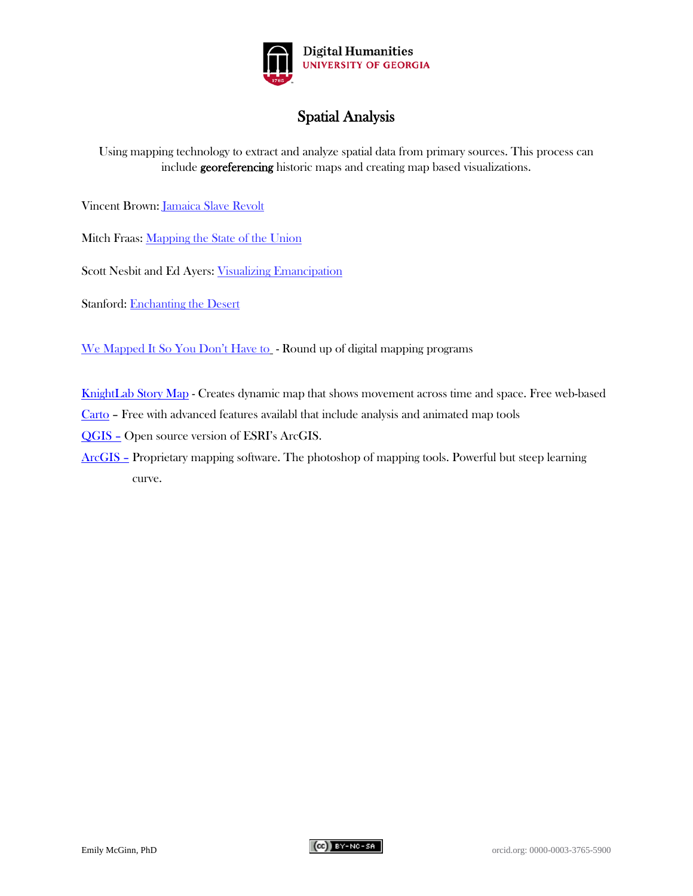

# Spatial Analysis

Using mapping technology to extract and analyze spatial data from primary sources. This process can include georeferencing historic maps and creating map based visualizations.

Vincent Brown: [Jamaica Slave Revolt](http://revolt.axismaps.com/map/)

Mitch Fraas: [Mapping the State of the Union](http://www.theatlantic.com/politics/archive/2015/01/mapping-the-state-of-the-union/384576/)

Scott Nesbit and Ed Ayers: [Visualizing Emancipation](http://dsl.richmond.edu/emancipation/)

Stanford: [Enchanting the Desert](http://www.enchantingthedesert.com/console/#map/8)

[We Mapped It So You Don't Have to](https://crln.acrl.org/index.php/crlnews/article/view/16772/18314) - Round up of digital mapping programs

[KnightLab Story Map](https://storymap.knightlab.com/) - Creates dynamic map that shows movement across time and space. Free web-based

[Carto](https://carto.com/) – Free with advanced features availabl that include analysis and animated map tools

[QGIS –](http://www.qgis.org/en/site/) Open source version of ESRI's ArcGIS.

[ArcGIS –](http://www.arcgis.com/features/index.html) Proprietary mapping software. The photoshop of mapping tools. Powerful but steep learning curve.

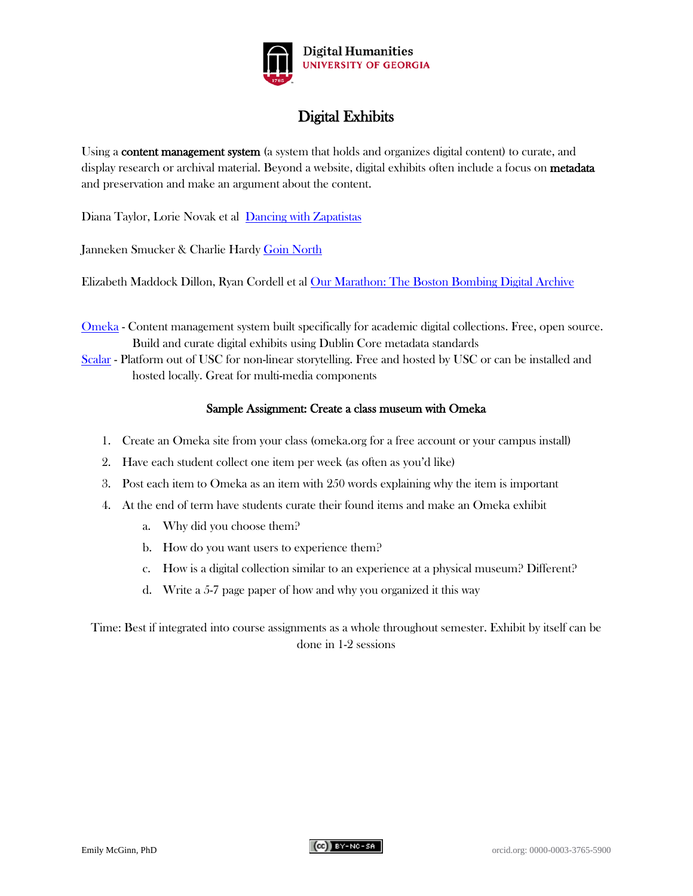

# Digital Exhibits

Using a content management system (a system that holds and organizes digital content) to curate, and display research or archival material. Beyond a website, digital exhibits often include a focus on metadata and preservation and make an argument about the content.

Diana Taylor, Lorie Novak et al [Dancing with Zapatistas](http://scalar.usc.edu/anvc/dancing-with-the-zapatistas/table-of-contents)

Janneken Smucker & Charlie Hardy [Goin North](https://goinnorth.org/)

Elizabeth Maddock Dillon, Ryan Cordell et al [Our Marathon: The Boston Bombing Digital Archive](http://marathon.neu.edu/about)

- [Omeka](http://omeka.org/) Content management system built specifically for academic digital collections. Free, open source. Build and curate digital exhibits using Dublin Core metadata standards
- [Scalar](http://scalar.usc.edu/) Platform out of USC for non-linear storytelling. Free and hosted by USC or can be installed and hosted locally. Great for multi-media components

## Sample Assignment: Create a class museum with Omeka

- 1. Create an Omeka site from your class (omeka.org for a free account or your campus install)
- 2. Have each student collect one item per week (as often as you'd like)
- 3. Post each item to Omeka as an item with 250 words explaining why the item is important
- 4. At the end of term have students curate their found items and make an Omeka exhibit
	- a. Why did you choose them?
	- b. How do you want users to experience them?
	- c. How is a digital collection similar to an experience at a physical museum? Different?
	- d. Write a 5-7 page paper of how and why you organized it this way

Time: Best if integrated into course assignments as a whole throughout semester. Exhibit by itself can be done in 1-2 sessions